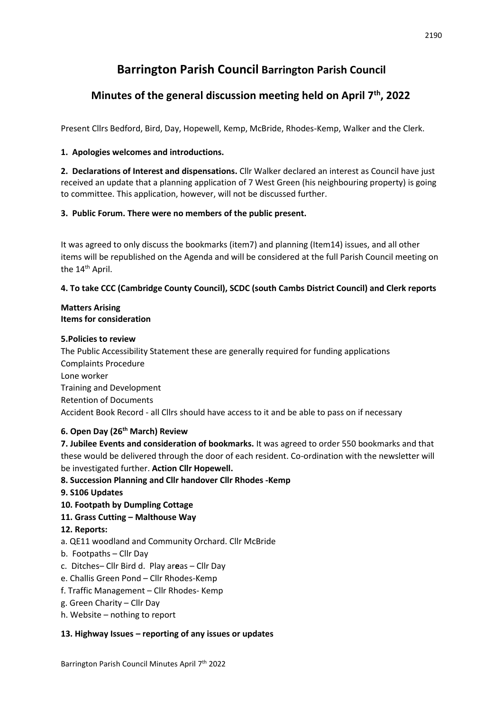# **Barrington Parish Council Barrington Parish Council**

## **Minutes of the general discussion meeting held on April 7th, 2022**

Present Cllrs Bedford, Bird, Day, Hopewell, Kemp, McBride, Rhodes-Kemp, Walker and the Clerk.

## **1. Apologies welcomes and introductions.**

**2. Declarations of Interest and dispensations.** Cllr Walker declared an interest as Council have just received an update that a planning application of 7 West Green (his neighbouring property) is going to committee. This application, however, will not be discussed further.

### **3. Public Forum. There were no members of the public present.**

It was agreed to only discuss the bookmarks (item7) and planning (Item14) issues, and all other items will be republished on the Agenda and will be considered at the full Parish Council meeting on the 14<sup>th</sup> April.

## **4. To take CCC (Cambridge County Council), SCDC (south Cambs District Council) and Clerk reports**

#### **Matters Arising Items for consideration**

#### **5.Policies to review**

The Public Accessibility Statement these are generally required for funding applications Complaints Procedure Lone worker Training and Development Retention of Documents Accident Book Record - all Cllrs should have access to it and be able to pass on if necessary

## **6. Open Day (26th March) Review**

**7. Jubilee Events and consideration of bookmarks.** It was agreed to order 550 bookmarks and that these would be delivered through the door of each resident. Co-ordination with the newsletter will be investigated further. **Action Cllr Hopewell.** 

## **8. Succession Planning and Cllr handover Cllr Rhodes -Kemp**

#### **9. S106 Updates**

**10. Footpath by Dumpling Cottage** 

## **11. Grass Cutting – Malthouse Way**

#### **12. Reports:**

- a. QE11 woodland and Community Orchard. Cllr McBride
- b. Footpaths Cllr Day
- c. Ditches– Cllr Bird d. Play ar**e**as Cllr Day
- e. Challis Green Pond Cllr Rhodes-Kemp
- f. Traffic Management Cllr Rhodes- Kemp
- g. Green Charity Cllr Day
- h. Website nothing to report

#### **13. Highway Issues – reporting of any issues or updates**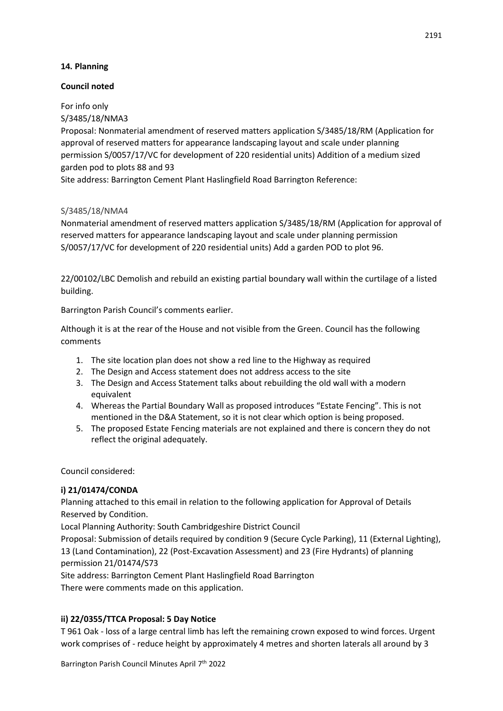#### **14. Planning**

#### **Council noted**

For info only

S/3485/18/NMA3

Proposal: Nonmaterial amendment of reserved matters application S/3485/18/RM (Application for approval of reserved matters for appearance landscaping layout and scale under planning permission S/0057/17/VC for development of 220 residential units) Addition of a medium sized garden pod to plots 88 and 93

Site address: Barrington Cement Plant Haslingfield Road Barrington Reference:

#### S/3485/18/NMA4

Nonmaterial amendment of reserved matters application S/3485/18/RM (Application for approval of reserved matters for appearance landscaping layout and scale under planning permission S/0057/17/VC for development of 220 residential units) Add a garden POD to plot 96.

22/00102/LBC Demolish and rebuild an existing partial boundary wall within the curtilage of a listed building.

Barrington Parish Council's comments earlier.

Although it is at the rear of the House and not visible from the Green. Council has the following comments

- 1. The site location plan does not show a red line to the Highway as required
- 2. The Design and Access statement does not address access to the site
- 3. The Design and Access Statement talks about rebuilding the old wall with a modern equivalent
- 4. Whereas the Partial Boundary Wall as proposed introduces "Estate Fencing". This is not mentioned in the D&A Statement, so it is not clear which option is being proposed.
- 5. The proposed Estate Fencing materials are not explained and there is concern they do not reflect the original adequately.

Council considered:

## **i) 21/01474/CONDA**

Planning attached to this email in relation to the following application for Approval of Details Reserved by Condition.

Local Planning Authority: South Cambridgeshire District Council

Proposal: Submission of details required by condition 9 (Secure Cycle Parking), 11 (External Lighting), 13 (Land Contamination), 22 (Post-Excavation Assessment) and 23 (Fire Hydrants) of planning permission 21/01474/S73

Site address: Barrington Cement Plant Haslingfield Road Barrington There were comments made on this application.

## **ii) 22/0355/TTCA Proposal: 5 Day Notice**

T 961 Oak - loss of a large central limb has left the remaining crown exposed to wind forces. Urgent work comprises of - reduce height by approximately 4 metres and shorten laterals all around by 3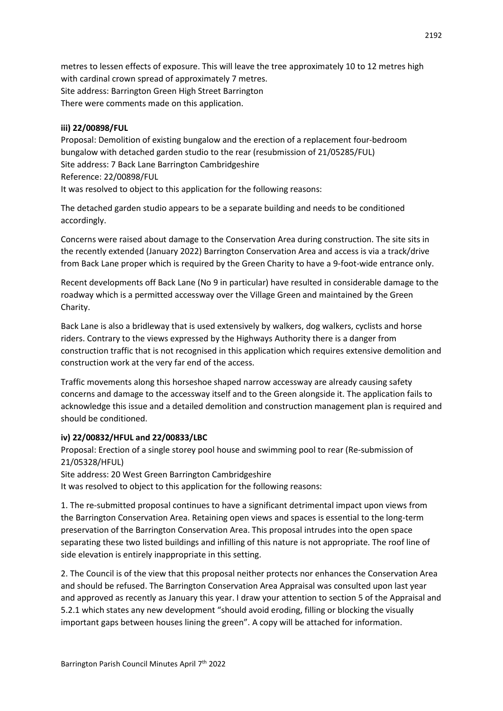metres to lessen effects of exposure. This will leave the tree approximately 10 to 12 metres high with cardinal crown spread of approximately 7 metres. Site address: Barrington Green High Street Barrington There were comments made on this application.

#### **iii) 22/00898/FUL**

Proposal: Demolition of existing bungalow and the erection of a replacement four-bedroom bungalow with detached garden studio to the rear (resubmission of 21/05285/FUL) Site address: 7 Back Lane Barrington Cambridgeshire Reference: 22/00898/FUL It was resolved to object to this application for the following reasons:

The detached garden studio appears to be a separate building and needs to be conditioned accordingly.

Concerns were raised about damage to the Conservation Area during construction. The site sits in the recently extended (January 2022) Barrington Conservation Area and access is via a track/drive from Back Lane proper which is required by the Green Charity to have a 9-foot-wide entrance only.

Recent developments off Back Lane (No 9 in particular) have resulted in considerable damage to the roadway which is a permitted accessway over the Village Green and maintained by the Green Charity.

Back Lane is also a bridleway that is used extensively by walkers, dog walkers, cyclists and horse riders. Contrary to the views expressed by the Highways Authority there is a danger from construction traffic that is not recognised in this application which requires extensive demolition and construction work at the very far end of the access.

Traffic movements along this horseshoe shaped narrow accessway are already causing safety concerns and damage to the accessway itself and to the Green alongside it. The application fails to acknowledge this issue and a detailed demolition and construction management plan is required and should be conditioned.

#### **iv) 22/00832/HFUL and 22/00833/LBC**

Proposal: Erection of a single storey pool house and swimming pool to rear (Re-submission of 21/05328/HFUL) Site address: 20 West Green Barrington Cambridgeshire

It was resolved to object to this application for the following reasons:

1. The re-submitted proposal continues to have a significant detrimental impact upon views from the Barrington Conservation Area. Retaining open views and spaces is essential to the long-term preservation of the Barrington Conservation Area. This proposal intrudes into the open space separating these two listed buildings and infilling of this nature is not appropriate. The roof line of side elevation is entirely inappropriate in this setting.

2. The Council is of the view that this proposal neither protects nor enhances the Conservation Area and should be refused. The Barrington Conservation Area Appraisal was consulted upon last year and approved as recently as January this year. I draw your attention to section 5 of the Appraisal and 5.2.1 which states any new development "should avoid eroding, filling or blocking the visually important gaps between houses lining the green". A copy will be attached for information.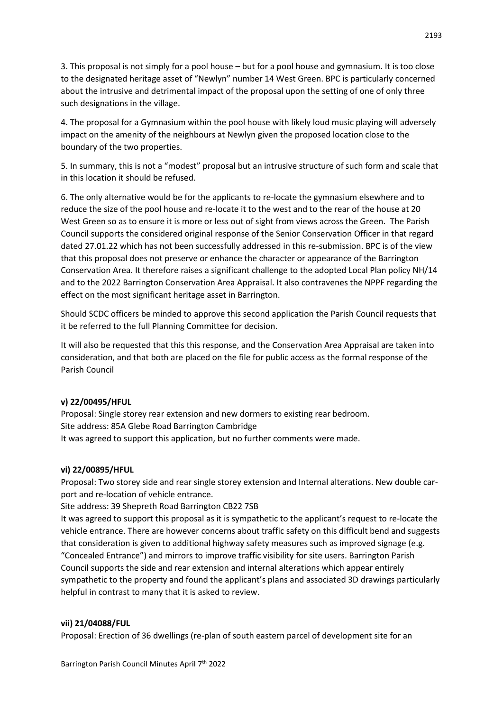3. This proposal is not simply for a pool house – but for a pool house and gymnasium. It is too close to the designated heritage asset of "Newlyn" number 14 West Green. BPC is particularly concerned about the intrusive and detrimental impact of the proposal upon the setting of one of only three such designations in the village.

4. The proposal for a Gymnasium within the pool house with likely loud music playing will adversely impact on the amenity of the neighbours at Newlyn given the proposed location close to the boundary of the two properties.

5. In summary, this is not a "modest" proposal but an intrusive structure of such form and scale that in this location it should be refused.

6. The only alternative would be for the applicants to re-locate the gymnasium elsewhere and to reduce the size of the pool house and re-locate it to the west and to the rear of the house at 20 West Green so as to ensure it is more or less out of sight from views across the Green. The Parish Council supports the considered original response of the Senior Conservation Officer in that regard dated 27.01.22 which has not been successfully addressed in this re-submission. BPC is of the view that this proposal does not preserve or enhance the character or appearance of the Barrington Conservation Area. It therefore raises a significant challenge to the adopted Local Plan policy NH/14 and to the 2022 Barrington Conservation Area Appraisal. It also contravenes the NPPF regarding the effect on the most significant heritage asset in Barrington.

Should SCDC officers be minded to approve this second application the Parish Council requests that it be referred to the full Planning Committee for decision.

It will also be requested that this this response, and the Conservation Area Appraisal are taken into consideration, and that both are placed on the file for public access as the formal response of the Parish Council

#### **v) 22/00495/HFUL**

Proposal: Single storey rear extension and new dormers to existing rear bedroom. Site address: 85A Glebe Road Barrington Cambridge It was agreed to support this application, but no further comments were made.

#### **vi) 22/00895/HFUL**

Proposal: Two storey side and rear single storey extension and Internal alterations. New double carport and re-location of vehicle entrance.

Site address: 39 Shepreth Road Barrington CB22 7SB

It was agreed to support this proposal as it is sympathetic to the applicant's request to re-locate the vehicle entrance. There are however concerns about traffic safety on this difficult bend and suggests that consideration is given to additional highway safety measures such as improved signage (e.g. "Concealed Entrance") and mirrors to improve traffic visibility for site users. Barrington Parish Council supports the side and rear extension and internal alterations which appear entirely sympathetic to the property and found the applicant's plans and associated 3D drawings particularly helpful in contrast to many that it is asked to review.

#### **vii) 21/04088/FUL**

Proposal: Erection of 36 dwellings (re-plan of south eastern parcel of development site for an